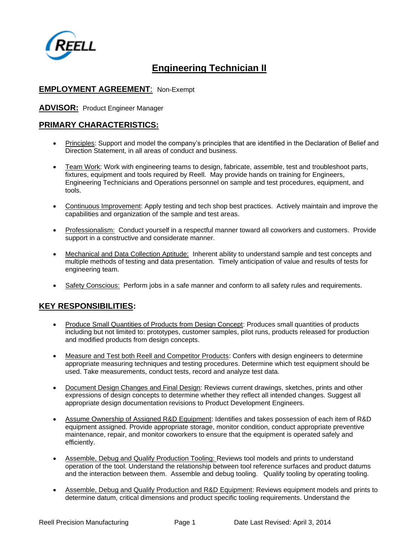

# **Engineering Technician II**

### **EMPLOYMENT AGREEMENT**: Non-Exempt

**ADVISOR:** Product Engineer Manager

#### **PRIMARY CHARACTERISTICS:**

- Principles: Support and model the company's principles that are identified in the Declaration of Belief and Direction Statement, in all areas of conduct and business.
- Team Work: Work with engineering teams to design, fabricate, assemble, test and troubleshoot parts, fixtures, equipment and tools required by Reell. May provide hands on training for Engineers, Engineering Technicians and Operations personnel on sample and test procedures, equipment, and tools.
- Continuous Improvement: Apply testing and tech shop best practices. Actively maintain and improve the capabilities and organization of the sample and test areas.
- Professionalism: Conduct yourself in a respectful manner toward all coworkers and customers. Provide support in a constructive and considerate manner.
- Mechanical and Data Collection Aptitude: Inherent ability to understand sample and test concepts and multiple methods of testing and data presentation. Timely anticipation of value and results of tests for engineering team.
- Safety Conscious: Perform jobs in a safe manner and conform to all safety rules and requirements.

## **KEY RESPONSIBILITIES:**

- Produce Small Quantities of Products from Design Concept: Produces small quantities of products including but not limited to: prototypes, customer samples, pilot runs, products released for production and modified products from design concepts.
- Measure and Test both Reell and Competitor Products: Confers with design engineers to determine appropriate measuring techniques and testing procedures. Determine which test equipment should be used. Take measurements, conduct tests, record and analyze test data.
- Document Design Changes and Final Design: Reviews current drawings, sketches, prints and other expressions of design concepts to determine whether they reflect all intended changes. Suggest all appropriate design documentation revisions to Product Development Engineers.
- Assume Ownership of Assigned R&D Equipment: Identifies and takes possession of each item of R&D equipment assigned. Provide appropriate storage, monitor condition, conduct appropriate preventive maintenance, repair, and monitor coworkers to ensure that the equipment is operated safely and efficiently.
- Assemble, Debug and Qualify Production Tooling: Reviews tool models and prints to understand operation of the tool. Understand the relationship between tool reference surfaces and product datums and the interaction between them. Assemble and debug tooling. Qualify tooling by operating tooling.
- Assemble, Debug and Qualify Production and R&D Equipment: Reviews equipment models and prints to determine datum, critical dimensions and product specific tooling requirements. Understand the